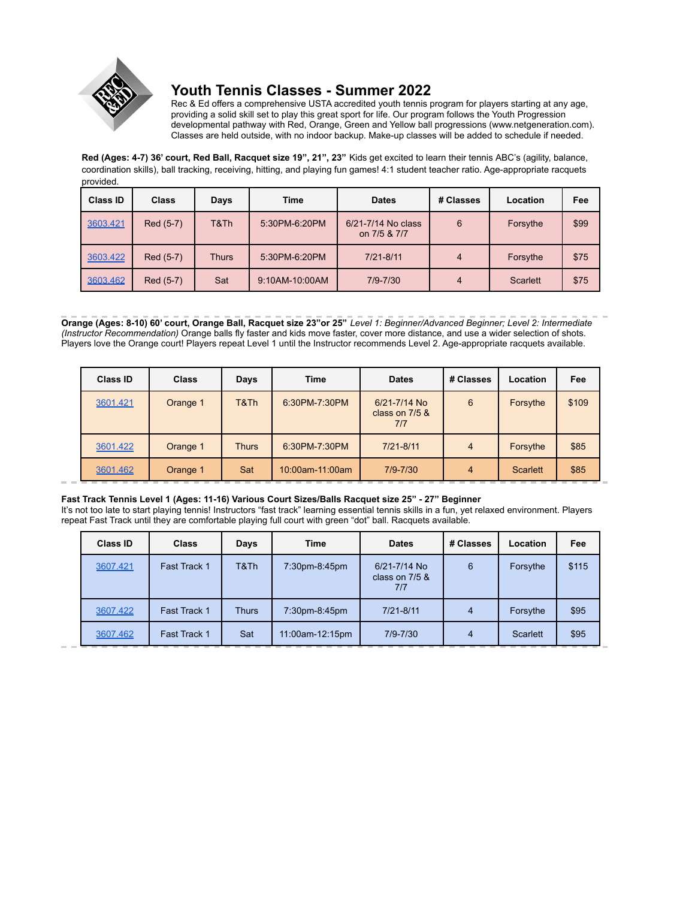

## **Youth Tennis Classes - Summer 2022**

Rec & Ed offers a comprehensive USTA accredited youth tennis program for players starting at any age, providing a solid skill set to play this great sport for life. Our program follows the Youth Progression developmental pathway with Red, Orange, Green and Yellow ball progressions (www.netgeneration.com). Classes are held outside, with no indoor backup. Make-up classes will be added to schedule if needed.

**Red (Ages: 4-7) 36' court, Red Ball, Racquet size 19", 21", 23"** Kids get excited to learn their tennis ABC's (agility, balance, coordination skills), ball tracking, receiving, hitting, and playing fun games! 4:1 student teacher ratio. Age-appropriate racquets provided.

| <b>Class ID</b> | <b>Class</b> | Days  | <b>Time</b>    | <b>Dates</b>                       | # Classes      | Location        | Fee  |
|-----------------|--------------|-------|----------------|------------------------------------|----------------|-----------------|------|
| 3603.421        | Red (5-7)    | T&Th  | 5:30PM-6:20PM  | 6/21-7/14 No class<br>on 7/5 & 7/7 | 6              | Forsythe        | \$99 |
| 3603.422        | Red (5-7)    | Thurs | 5:30PM-6:20PM  | $7/21 - 8/11$                      | $\overline{4}$ | Forsythe        | \$75 |
| 3603.462        | Red (5-7)    | Sat   | 9:10AM-10:00AM | $7/9 - 7/30$                       | 4              | <b>Scarlett</b> | \$75 |

Orange (Ages: 8-10) 60' court, Orange Ball, Racquet size 23" or 25" Level 1: Beginner/Advanced Beginner; Level 2: Intermediate *(Instructor Recommendation)* Orange balls fly faster and kids move faster, cover more distance, and use a wider selection of shots. Players love the Orange court! Players repeat Level 1 until the Instructor recommends Level 2. Age-appropriate racquets available.

| <b>Class ID</b> | <b>Class</b> | <b>Days</b> | <b>Time</b>     | <b>Dates</b>                                | # Classes | Location | Fee   |
|-----------------|--------------|-------------|-----------------|---------------------------------------------|-----------|----------|-------|
| 3601.421        | Orange 1     | T&Th        | 6:30PM-7:30PM   | $6/21 - 7/14$ No<br>class on $7/5$ &<br>7/7 | 6         | Forsythe | \$109 |
| 3601.422        | Orange 1     | Thurs       | 6:30PM-7:30PM   | $7/21 - 8/11$                               | 4         | Forsythe | \$85  |
| 3601.462        | Orange 1     | Sat         | 10:00am-11:00am | $7/9 - 7/30$                                | 4         | Scarlett | \$85  |

## **Fast Track Tennis Level 1 (Ages: 11-16) Various Court Sizes/Balls Racquet size 25" - 27" Beginner**

It's not too late to start playing tennis! Instructors "fast track" learning essential tennis skills in a fun, yet relaxed environment. Players repeat Fast Track until they are comfortable playing full court with green "dot" ball. Racquets available.

| <b>Class ID</b> | <b>Class</b> | Days         | <b>Time</b>     | <b>Dates</b>                            | # Classes      | Location        | Fee   |
|-----------------|--------------|--------------|-----------------|-----------------------------------------|----------------|-----------------|-------|
| 3607.421        | Fast Track 1 | T&Th         | 7:30pm-8:45pm   | 6/21-7/14 No<br>class on $7/5$ &<br>7/7 | 6              | Forsythe        | \$115 |
| 3607.422        | Fast Track 1 | <b>Thurs</b> | 7:30pm-8:45pm   | $7/21 - 8/11$                           | 4              | Forsythe        | \$95  |
| 3607.462        | Fast Track 1 | Sat          | 11:00am-12:15pm | $7/9 - 7/30$                            | $\overline{4}$ | <b>Scarlett</b> | \$95  |